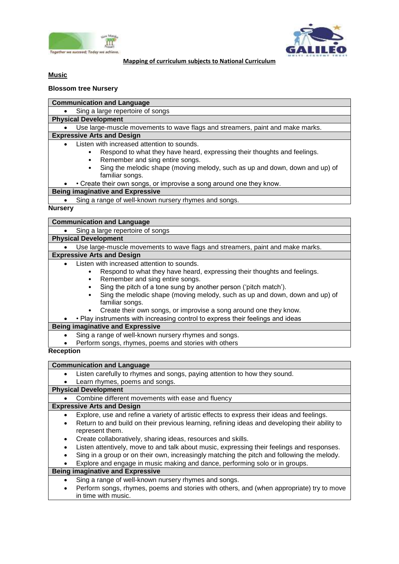



**Mapping of curriculum subjects to National Curriculum**

## **Music**

## **Blossom tree Nursery**

**Communication and Language**

• Sing a large repertoire of songs

**Physical Development**

Use large-muscle movements to wave flags and streamers, paint and make marks.

# **Expressive Arts and Design**

- Listen with increased attention to sounds.
	- Respond to what they have heard, expressing their thoughts and feelings.
	- Remember and sing entire songs.
	- Sing the melodic shape (moving melody, such as up and down, down and up) of familiar songs.
- Create their own songs, or improvise a song around one they know.

## **Being imaginative and Expressive**

• Sing a range of well-known nursery rhymes and songs.

## **Nursery**

| <b>Communication and Language</b>                                                                                                                                                                                                                                                                                                                                                                                                                                                      |
|----------------------------------------------------------------------------------------------------------------------------------------------------------------------------------------------------------------------------------------------------------------------------------------------------------------------------------------------------------------------------------------------------------------------------------------------------------------------------------------|
| Sing a large repertoire of songs                                                                                                                                                                                                                                                                                                                                                                                                                                                       |
| <b>Physical Development</b>                                                                                                                                                                                                                                                                                                                                                                                                                                                            |
| Use large-muscle movements to wave flags and streamers, paint and make marks.                                                                                                                                                                                                                                                                                                                                                                                                          |
| <b>Expressive Arts and Design</b>                                                                                                                                                                                                                                                                                                                                                                                                                                                      |
| Listen with increased attention to sounds.<br>Respond to what they have heard, expressing their thoughts and feelings.<br>Remember and sing entire songs.<br>Sing the pitch of a tone sung by another person ('pitch match').<br>Sing the melodic shape (moving melody, such as up and down, down and up) of<br>familiar songs.<br>Create their own songs, or improvise a song around one they know.<br>• Play instruments with increasing control to express their feelings and ideas |
| <b>Being imaginative and Expressive</b>                                                                                                                                                                                                                                                                                                                                                                                                                                                |
| Sing a range of well-known nursery rhymes and songs.<br>$\bullet$<br>Perform songs, rhymes, poems and stories with others                                                                                                                                                                                                                                                                                                                                                              |
| <b>Reception</b>                                                                                                                                                                                                                                                                                                                                                                                                                                                                       |
| <b>Communication and Language</b>                                                                                                                                                                                                                                                                                                                                                                                                                                                      |
| Listen carefully to rhymes and songs, paying attention to how they sound.                                                                                                                                                                                                                                                                                                                                                                                                              |
| Learn rhymes, poems and songs.                                                                                                                                                                                                                                                                                                                                                                                                                                                         |

## **Physical Development**

Combine different movements with ease and fluency

## **Expressive Arts and Design**

- Explore, use and refine a variety of artistic effects to express their ideas and feelings.
- Return to and build on their previous learning, refining ideas and developing their ability to represent them.
- Create collaboratively, sharing ideas, resources and skills.
- Listen attentively, move to and talk about music, expressing their feelings and responses.
- Sing in a group or on their own, increasingly matching the pitch and following the melody.
- Explore and engage in music making and dance, performing solo or in groups.

## **Being imaginative and Expressive**

- Sing a range of well-known nursery rhymes and songs.
- Perform songs, rhymes, poems and stories with others, and (when appropriate) try to move in time with music.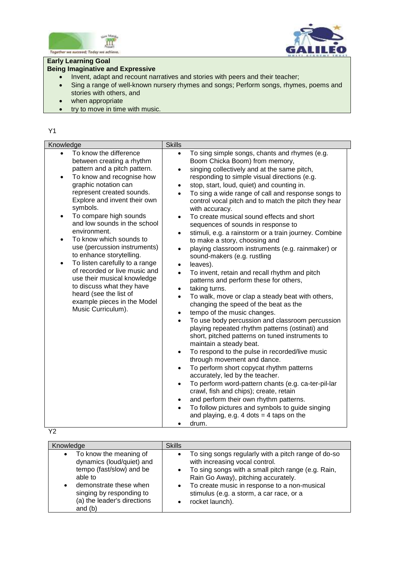



# **Early Learning Goal**

# **Being Imaginative and Expressive**

- Invent, adapt and recount narratives and stories with peers and their teacher;
- Sing a range of well-known nursery rhymes and songs; Perform songs, rhymes, poems and stories with others, and
- when appropriate
- try to move in time with music.

## Y1

| Knowledge                                                                                                                                                                                                                                                                                                                                                                                                                                                                                                                                                                                                                                                         | <b>Skills</b>                                                                                                                                                 |                                                                                                                                                                                                                                                                                                                                                                                                                                                                                                                                                                                                                                                                                                                                                                                                                                                                                                                                                                                                                                                                                                                                                                                                                                                                                                                                                                                                                                                                                            |  |
|-------------------------------------------------------------------------------------------------------------------------------------------------------------------------------------------------------------------------------------------------------------------------------------------------------------------------------------------------------------------------------------------------------------------------------------------------------------------------------------------------------------------------------------------------------------------------------------------------------------------------------------------------------------------|---------------------------------------------------------------------------------------------------------------------------------------------------------------|--------------------------------------------------------------------------------------------------------------------------------------------------------------------------------------------------------------------------------------------------------------------------------------------------------------------------------------------------------------------------------------------------------------------------------------------------------------------------------------------------------------------------------------------------------------------------------------------------------------------------------------------------------------------------------------------------------------------------------------------------------------------------------------------------------------------------------------------------------------------------------------------------------------------------------------------------------------------------------------------------------------------------------------------------------------------------------------------------------------------------------------------------------------------------------------------------------------------------------------------------------------------------------------------------------------------------------------------------------------------------------------------------------------------------------------------------------------------------------------------|--|
| To know the difference<br>$\bullet$<br>between creating a rhythm<br>pattern and a pitch pattern.<br>To know and recognise how<br>$\bullet$<br>graphic notation can<br>represent created sounds.<br>Explore and invent their own<br>symbols.<br>To compare high sounds<br>$\bullet$<br>and low sounds in the school<br>environment.<br>To know which sounds to<br>$\bullet$<br>use (percussion instruments)<br>to enhance storytelling.<br>To listen carefully to a range<br>$\bullet$<br>of recorded or live music and<br>use their musical knowledge<br>to discuss what they have<br>heard (see the list of<br>example pieces in the Model<br>Music Curriculum). | $\bullet$<br>$\bullet$<br>$\bullet$<br>$\bullet$<br>$\bullet$<br>$\bullet$<br>$\bullet$<br>$\bullet$<br>٠<br>$\bullet$<br>$\bullet$<br>$\bullet$<br>$\bullet$ | To sing simple songs, chants and rhymes (e.g.<br>Boom Chicka Boom) from memory,<br>singing collectively and at the same pitch,<br>responding to simple visual directions (e.g.<br>stop, start, loud, quiet) and counting in.<br>To sing a wide range of call and response songs to<br>control vocal pitch and to match the pitch they hear<br>with accuracy.<br>To create musical sound effects and short<br>sequences of sounds in response to<br>stimuli, e.g. a rainstorm or a train journey. Combine<br>to make a story, choosing and<br>playing classroom instruments (e.g. rainmaker) or<br>sound-makers (e.g. rustling<br>leaves).<br>To invent, retain and recall rhythm and pitch<br>patterns and perform these for others,<br>taking turns.<br>To walk, move or clap a steady beat with others,<br>changing the speed of the beat as the<br>tempo of the music changes.<br>To use body percussion and classroom percussion<br>playing repeated rhythm patterns (ostinati) and<br>short, pitched patterns on tuned instruments to<br>maintain a steady beat.<br>To respond to the pulse in recorded/live music<br>through movement and dance.<br>To perform short copycat rhythm patterns<br>accurately, led by the teacher.<br>To perform word-pattern chants (e.g. ca-ter-pil-lar<br>crawl, fish and chips); create, retain<br>and perform their own rhythm patterns.<br>To follow pictures and symbols to guide singing<br>and playing, e.g. 4 dots $=$ 4 taps on the<br>drum. |  |

| Knowledge                                                                                                                                                                                    | <b>Skills</b>                                                                                                                                                                                                                                                                                     |
|----------------------------------------------------------------------------------------------------------------------------------------------------------------------------------------------|---------------------------------------------------------------------------------------------------------------------------------------------------------------------------------------------------------------------------------------------------------------------------------------------------|
| To know the meaning of<br>dynamics (loud/quiet) and<br>tempo (fast/slow) and be<br>able to<br>demonstrate these when<br>singing by responding to<br>(a) the leader's directions<br>and $(b)$ | To sing songs regularly with a pitch range of do-so<br>with increasing vocal control.<br>To sing songs with a small pitch range (e.g. Rain,<br>Rain Go Away), pitching accurately.<br>To create music in response to a non-musical<br>stimulus (e.g. a storm, a car race, or a<br>rocket launch). |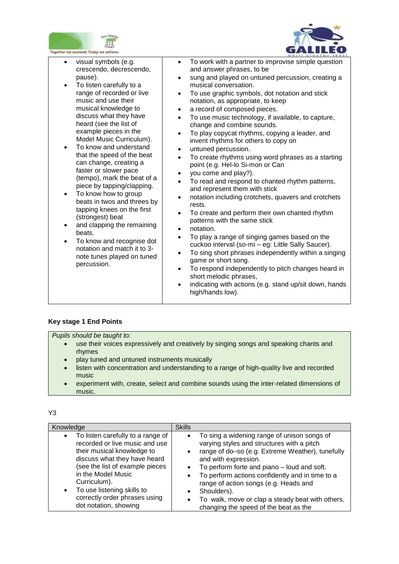



| ogether we succeed; Today we achieve                                                                                                                                                                                                                                                                                                                                                                                                                                                                                                                                                                                                                                                                                       |                                                                                                                                                                                                                                                                                                                                                                                                                                                                                                                                                                                                                                                                                                                                                                                                                                                                                                                                                                                                                                                                                                                                                                                                                                                                                                                                                                                                                                                   |
|----------------------------------------------------------------------------------------------------------------------------------------------------------------------------------------------------------------------------------------------------------------------------------------------------------------------------------------------------------------------------------------------------------------------------------------------------------------------------------------------------------------------------------------------------------------------------------------------------------------------------------------------------------------------------------------------------------------------------|---------------------------------------------------------------------------------------------------------------------------------------------------------------------------------------------------------------------------------------------------------------------------------------------------------------------------------------------------------------------------------------------------------------------------------------------------------------------------------------------------------------------------------------------------------------------------------------------------------------------------------------------------------------------------------------------------------------------------------------------------------------------------------------------------------------------------------------------------------------------------------------------------------------------------------------------------------------------------------------------------------------------------------------------------------------------------------------------------------------------------------------------------------------------------------------------------------------------------------------------------------------------------------------------------------------------------------------------------------------------------------------------------------------------------------------------------|
| visual symbols (e.g.<br>crescendo, decrescendo,<br>pause).<br>To listen carefully to a<br>$\bullet$<br>range of recorded or live<br>music and use their<br>musical knowledge to<br>discuss what they have<br>heard (see the list of<br>example pieces in the<br>Model Music Curriculum).<br>To know and understand<br>that the speed of the beat<br>can change, creating a<br>faster or slower pace<br>(tempo), mark the beat of a<br>piece by tapping/clapping.<br>To know how to group<br>beats in twos and threes by<br>tapping knees on the first<br>(strongest) beat<br>and clapping the remaining<br>beats.<br>To know and recognise dot<br>notation and match it to 3-<br>note tunes played on tuned<br>percussion. | To work with a partner to improvise simple question<br>$\bullet$<br>and answer phrases, to be<br>sung and played on untuned percussion, creating a<br>$\bullet$<br>musical conversation.<br>To use graphic symbols, dot notation and stick<br>$\bullet$<br>notation, as appropriate, to keep<br>a record of composed pieces.<br>$\bullet$<br>To use music technology, if available, to capture,<br>$\bullet$<br>change and combine sounds.<br>To play copycat rhythms, copying a leader, and<br>$\bullet$<br>invent rhythms for others to copy on<br>untuned percussion.<br>$\bullet$<br>To create rhythms using word phrases as a starting<br>$\bullet$<br>point (e.g. Hel-lo Si-mon or Can<br>you come and play?).<br>$\bullet$<br>To read and respond to chanted rhythm patterns,<br>$\bullet$<br>and represent them with stick<br>notation including crotchets, quavers and crotchets<br>$\bullet$<br>rests.<br>To create and perform their own chanted rhythm<br>$\bullet$<br>patterns with the same stick<br>notation.<br>$\bullet$<br>To play a range of singing games based on the<br>$\bullet$<br>cuckoo interval (so-mi - eg: Little Sally Saucer).<br>To sing short phrases independently within a singing<br>$\bullet$<br>game or short song.<br>To respond independently to pitch changes heard in<br>$\bullet$<br>short melodic phrases,<br>indicating with actions (e.g. stand up/sit down, hands<br>$\bullet$<br>high/hands low). |

## **Key stage 1 End Points**

*Pupils should be taught to:* 

- use their voices expressively and creatively by singing songs and speaking chants and rhymes
- play tuned and untuned instruments musically
- listen with concentration and understanding to a range of high-quality live and recorded music
- experiment with, create, select and combine sounds using the inter-related dimensions of music.

| Knowledge                                                                                                                                                                                                                                                                                          | <b>Skills</b>                                                                                                                                                                                                                                                                                                                                                                                                                                                                         |
|----------------------------------------------------------------------------------------------------------------------------------------------------------------------------------------------------------------------------------------------------------------------------------------------------|---------------------------------------------------------------------------------------------------------------------------------------------------------------------------------------------------------------------------------------------------------------------------------------------------------------------------------------------------------------------------------------------------------------------------------------------------------------------------------------|
| To listen carefully to a range of<br>recorded or live music and use<br>their musical knowledge to<br>discuss what they have heard<br>(see the list of example pieces<br>in the Model Music<br>Curriculum).<br>To use listening skills to<br>correctly order phrases using<br>dot notation, showing | To sing a widening range of unison songs of<br>$\bullet$<br>varying styles and structures with a pitch<br>range of do-so (e.g. Extreme Weather), tunefully<br>$\bullet$<br>and with expression.<br>To perform forte and piano – loud and soft.<br>$\bullet$<br>To perform actions confidently and in time to a<br>٠<br>range of action songs (e.g. Heads and<br>Shoulders).<br>To walk, move or clap a steady beat with others,<br>$\bullet$<br>changing the speed of the beat as the |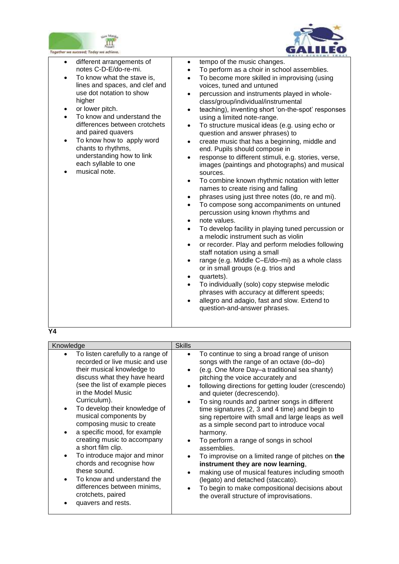



| gether we succeed; Today we achieve.                                                                                                                                                                                                                                                                                                                                                                   |                                                                                                                                                                                                                                                                                                                                                                                                                                                                                                                                                                                                                                                                                                                                                                                                                                                                                                                                                                                                                                                                                                                                                                                                                                                                                                                                                                                                                                                                                                                                                                                |
|--------------------------------------------------------------------------------------------------------------------------------------------------------------------------------------------------------------------------------------------------------------------------------------------------------------------------------------------------------------------------------------------------------|--------------------------------------------------------------------------------------------------------------------------------------------------------------------------------------------------------------------------------------------------------------------------------------------------------------------------------------------------------------------------------------------------------------------------------------------------------------------------------------------------------------------------------------------------------------------------------------------------------------------------------------------------------------------------------------------------------------------------------------------------------------------------------------------------------------------------------------------------------------------------------------------------------------------------------------------------------------------------------------------------------------------------------------------------------------------------------------------------------------------------------------------------------------------------------------------------------------------------------------------------------------------------------------------------------------------------------------------------------------------------------------------------------------------------------------------------------------------------------------------------------------------------------------------------------------------------------|
| different arrangements of<br>$\bullet$<br>notes C-D-E/do-re-mi.<br>To know what the stave is,<br>lines and spaces, and clef and<br>use dot notation to show<br>higher<br>or lower pitch.<br>To know and understand the<br>differences between crotchets<br>and paired quavers<br>To know how to apply word<br>chants to rhythms,<br>understanding how to link<br>each syllable to one<br>musical note. | tempo of the music changes.<br>$\bullet$<br>To perform as a choir in school assemblies.<br>$\bullet$<br>To become more skilled in improvising (using<br>$\bullet$<br>voices, tuned and untuned<br>percussion and instruments played in whole-<br>$\bullet$<br>class/group/individual/instrumental<br>teaching), inventing short 'on-the-spot' responses<br>$\bullet$<br>using a limited note-range.<br>To structure musical ideas (e.g. using echo or<br>$\bullet$<br>question and answer phrases) to<br>create music that has a beginning, middle and<br>$\bullet$<br>end. Pupils should compose in<br>response to different stimuli, e.g. stories, verse,<br>$\bullet$<br>images (paintings and photographs) and musical<br>sources.<br>To combine known rhythmic notation with letter<br>$\bullet$<br>names to create rising and falling<br>phrases using just three notes (do, re and mi).<br>$\bullet$<br>To compose song accompaniments on untuned<br>$\bullet$<br>percussion using known rhythms and<br>note values.<br>$\bullet$<br>To develop facility in playing tuned percussion or<br>$\bullet$<br>a melodic instrument such as violin<br>or recorder. Play and perform melodies following<br>$\bullet$<br>staff notation using a small<br>range (e.g. Middle C-E/do-mi) as a whole class<br>$\bullet$<br>or in small groups (e.g. trios and<br>quartets).<br>$\bullet$<br>To individually (solo) copy stepwise melodic<br>$\bullet$<br>phrases with accuracy at different speeds;<br>allegro and adagio, fast and slow. Extend to<br>question-and-answer phrases. |

| Knowledge                                                                                                                                                                                                                                                                                                                                                                                                                                                                                                                                                                                                         | <b>Skills</b>                                                                                                                                                                                                                                                                                                                                                                                                                                                                                                                                                                                                                                                                                                                                                                                                                                                                                       |
|-------------------------------------------------------------------------------------------------------------------------------------------------------------------------------------------------------------------------------------------------------------------------------------------------------------------------------------------------------------------------------------------------------------------------------------------------------------------------------------------------------------------------------------------------------------------------------------------------------------------|-----------------------------------------------------------------------------------------------------------------------------------------------------------------------------------------------------------------------------------------------------------------------------------------------------------------------------------------------------------------------------------------------------------------------------------------------------------------------------------------------------------------------------------------------------------------------------------------------------------------------------------------------------------------------------------------------------------------------------------------------------------------------------------------------------------------------------------------------------------------------------------------------------|
| To listen carefully to a range of<br>recorded or live music and use<br>their musical knowledge to<br>discuss what they have heard<br>(see the list of example pieces<br>in the Model Music<br>Curriculum).<br>To develop their knowledge of<br>$\bullet$<br>musical components by<br>composing music to create<br>a specific mood, for example<br>$\bullet$<br>creating music to accompany<br>a short film clip.<br>To introduce major and minor<br>$\bullet$<br>chords and recognise how<br>these sound.<br>To know and understand the<br>differences between minims,<br>crotchets, paired<br>quavers and rests. | To continue to sing a broad range of unison<br>$\bullet$<br>songs with the range of an octave (do-do)<br>(e.g. One More Day-a traditional sea shanty)<br>$\bullet$<br>pitching the voice accurately and<br>following directions for getting louder (crescendo)<br>$\bullet$<br>and quieter (decrescendo).<br>To sing rounds and partner songs in different<br>٠<br>time signatures (2, 3 and 4 time) and begin to<br>sing repertoire with small and large leaps as well<br>as a simple second part to introduce vocal<br>harmony.<br>To perform a range of songs in school<br>assemblies.<br>To improvise on a limited range of pitches on the<br>instrument they are now learning,<br>making use of musical features including smooth<br>$\bullet$<br>(legato) and detached (staccato).<br>To begin to make compositional decisions about<br>$\bullet$<br>the overall structure of improvisations. |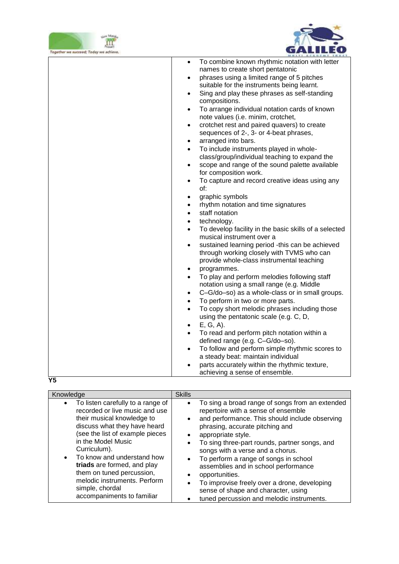



| Together we succeed; Today we achieve. |                                                                                                  |
|----------------------------------------|--------------------------------------------------------------------------------------------------|
|                                        | To combine known rhythmic notation with letter<br>$\bullet$<br>names to create short pentatonic  |
|                                        | phrases using a limited range of 5 pitches<br>$\bullet$                                          |
|                                        | suitable for the instruments being learnt.                                                       |
|                                        | Sing and play these phrases as self-standing                                                     |
|                                        | $\bullet$<br>compositions.                                                                       |
|                                        | To arrange individual notation cards of known<br>$\bullet$<br>note values (i.e. minim, crotchet, |
|                                        | crotchet rest and paired quavers) to create<br>$\bullet$                                         |
|                                        | sequences of 2-, 3- or 4-beat phrases,                                                           |
|                                        | arranged into bars.<br>$\bullet$                                                                 |
|                                        | To include instruments played in whole-<br>٠                                                     |
|                                        | class/group/individual teaching to expand the                                                    |
|                                        | scope and range of the sound palette available<br>$\bullet$                                      |
|                                        | for composition work.                                                                            |
|                                        | To capture and record creative ideas using any<br>$\bullet$                                      |
|                                        | of:                                                                                              |
|                                        | graphic symbols<br>$\bullet$                                                                     |
|                                        | rhythm notation and time signatures                                                              |
|                                        | staff notation<br>$\bullet$                                                                      |
|                                        | technology.<br>$\bullet$                                                                         |
|                                        | To develop facility in the basic skills of a selected<br>$\bullet$                               |
|                                        | musical instrument over a                                                                        |
|                                        | sustained learning period -this can be achieved<br>$\bullet$                                     |
|                                        | through working closely with TVMS who can                                                        |
|                                        | provide whole-class instrumental teaching                                                        |
|                                        | programmes.<br>$\bullet$                                                                         |
|                                        | To play and perform melodies following staff<br>$\bullet$                                        |
|                                        | notation using a small range (e.g. Middle                                                        |
|                                        | C-G/do-so) as a whole-class or in small groups.<br>$\bullet$                                     |
|                                        | To perform in two or more parts.<br>٠                                                            |
|                                        | To copy short melodic phrases including those<br>$\bullet$                                       |
|                                        | using the pentatonic scale (e.g. C, D,                                                           |
|                                        | E, G, A).<br>٠                                                                                   |
|                                        | To read and perform pitch notation within a<br>$\bullet$                                         |
|                                        | defined range (e.g. C-G/do-so).                                                                  |
|                                        | To follow and perform simple rhythmic scores to<br>$\bullet$                                     |
|                                        | a steady beat: maintain individual                                                               |
|                                        | parts accurately within the rhythmic texture,                                                    |
|                                        | achieving a sense of ensemble.                                                                   |
|                                        |                                                                                                  |

| Knowledge                                                                                                                                                                                                                                                                                                                                                                                                       | <b>Skills</b>                                                                                                                                                                                                                                                                                                                                                                                                                                                                                                                                                                                                            |
|-----------------------------------------------------------------------------------------------------------------------------------------------------------------------------------------------------------------------------------------------------------------------------------------------------------------------------------------------------------------------------------------------------------------|--------------------------------------------------------------------------------------------------------------------------------------------------------------------------------------------------------------------------------------------------------------------------------------------------------------------------------------------------------------------------------------------------------------------------------------------------------------------------------------------------------------------------------------------------------------------------------------------------------------------------|
| To listen carefully to a range of<br>$\bullet$<br>recorded or live music and use<br>their musical knowledge to<br>discuss what they have heard<br>(see the list of example pieces<br>in the Model Music<br>Curriculum).<br>To know and understand how<br>$\bullet$<br>triads are formed, and play<br>them on tuned percussion,<br>melodic instruments. Perform<br>simple, chordal<br>accompaniments to familiar | To sing a broad range of songs from an extended<br>$\bullet$<br>repertoire with a sense of ensemble<br>and performance. This should include observing<br>$\bullet$<br>phrasing, accurate pitching and<br>appropriate style.<br>$\bullet$<br>To sing three-part rounds, partner songs, and<br>$\bullet$<br>songs with a verse and a chorus.<br>To perform a range of songs in school<br>$\bullet$<br>assemblies and in school performance<br>opportunities.<br>$\bullet$<br>To improvise freely over a drone, developing<br>sense of shape and character, using<br>tuned percussion and melodic instruments.<br>$\bullet$ |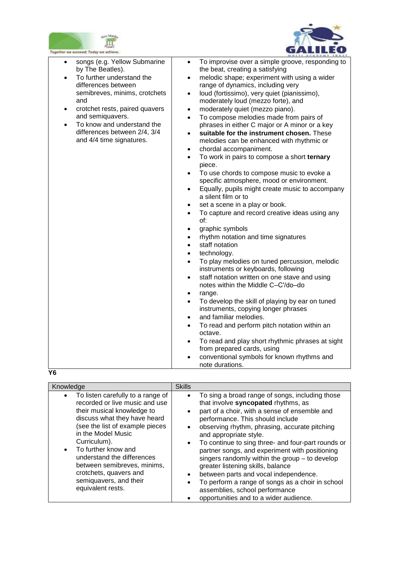



| To improvise over a simple groove, responding to<br>songs (e.g. Yellow Submarine<br>$\bullet$<br>$\bullet$<br>by The Beatles).<br>the beat, creating a satisfying<br>To further understand the<br>melodic shape; experiment with using a wider<br>$\bullet$<br>$\bullet$<br>differences between<br>range of dynamics, including very<br>semibreves, minims, crotchets<br>loud (fortissimo), very quiet (pianissimo),<br>$\bullet$<br>and<br>moderately loud (mezzo forte), and<br>crotchet rests, paired quavers<br>moderately quiet (mezzo piano).<br>$\bullet$<br>$\bullet$<br>and semiquavers.<br>To compose melodies made from pairs of<br>$\bullet$<br>To know and understand the<br>phrases in either C major or A minor or a key<br>$\bullet$<br>differences between 2/4, 3/4<br>suitable for the instrument chosen. These<br>$\bullet$<br>and 4/4 time signatures.<br>melodies can be enhanced with rhythmic or<br>chordal accompaniment.<br>$\bullet$<br>To work in pairs to compose a short ternary<br>$\bullet$<br>piece.<br>To use chords to compose music to evoke a<br>$\bullet$<br>specific atmosphere, mood or environment.<br>Equally, pupils might create music to accompany<br>$\bullet$<br>a silent film or to<br>set a scene in a play or book.<br>$\bullet$<br>To capture and record creative ideas using any<br>$\bullet$<br>of:<br>graphic symbols<br>$\bullet$<br>rhythm notation and time signatures<br>$\bullet$<br>staff notation<br>$\bullet$<br>technology.<br>$\bullet$<br>To play melodies on tuned percussion, melodic<br>$\bullet$<br>instruments or keyboards, following<br>staff notation written on one stave and using<br>$\bullet$<br>notes within the Middle C-C'/do-do<br>range.<br>$\bullet$<br>To develop the skill of playing by ear on tuned<br>$\bullet$<br>instruments, copying longer phrases<br>and familiar melodies.<br>$\bullet$<br>To read and perform pitch notation within an<br>$\bullet$<br>octave.<br>To read and play short rhythmic phrases at sight<br>$\bullet$<br>from prepared cards, using<br>conventional symbols for known rhythms and<br>$\bullet$<br>note durations. | Together we succeed; Today we achieve. | <b>SPILY: ACABENY TABLE</b> |
|-------------------------------------------------------------------------------------------------------------------------------------------------------------------------------------------------------------------------------------------------------------------------------------------------------------------------------------------------------------------------------------------------------------------------------------------------------------------------------------------------------------------------------------------------------------------------------------------------------------------------------------------------------------------------------------------------------------------------------------------------------------------------------------------------------------------------------------------------------------------------------------------------------------------------------------------------------------------------------------------------------------------------------------------------------------------------------------------------------------------------------------------------------------------------------------------------------------------------------------------------------------------------------------------------------------------------------------------------------------------------------------------------------------------------------------------------------------------------------------------------------------------------------------------------------------------------------------------------------------------------------------------------------------------------------------------------------------------------------------------------------------------------------------------------------------------------------------------------------------------------------------------------------------------------------------------------------------------------------------------------------------------------------------------------------------------------------------------------------------------------------------------|----------------------------------------|-----------------------------|
|                                                                                                                                                                                                                                                                                                                                                                                                                                                                                                                                                                                                                                                                                                                                                                                                                                                                                                                                                                                                                                                                                                                                                                                                                                                                                                                                                                                                                                                                                                                                                                                                                                                                                                                                                                                                                                                                                                                                                                                                                                                                                                                                           | Y6                                     |                             |

| Knowledge                                                                                                                                                                                                                                                                                                                                                                                         | <b>Skills</b>                                                                                                                                                                                                                                                                                                                                                                                                                                                                                                                                                                                                                                              |
|---------------------------------------------------------------------------------------------------------------------------------------------------------------------------------------------------------------------------------------------------------------------------------------------------------------------------------------------------------------------------------------------------|------------------------------------------------------------------------------------------------------------------------------------------------------------------------------------------------------------------------------------------------------------------------------------------------------------------------------------------------------------------------------------------------------------------------------------------------------------------------------------------------------------------------------------------------------------------------------------------------------------------------------------------------------------|
| To listen carefully to a range of<br>$\bullet$<br>recorded or live music and use<br>their musical knowledge to<br>discuss what they have heard<br>(see the list of example pieces<br>in the Model Music<br>Curriculum).<br>To further know and<br>$\bullet$<br>understand the differences<br>between semibreves, minims,<br>crotchets, quavers and<br>semiquavers, and their<br>equivalent rests. | To sing a broad range of songs, including those<br>$\bullet$<br>that involve syncopated rhythms, as<br>part of a choir, with a sense of ensemble and<br>performance. This should include<br>observing rhythm, phrasing, accurate pitching<br>and appropriate style.<br>To continue to sing three- and four-part rounds or<br>$\bullet$<br>partner songs, and experiment with positioning<br>singers randomly within the group $-$ to develop<br>greater listening skills, balance<br>between parts and vocal independence.<br>To perform a range of songs as a choir in school<br>assemblies, school performance<br>opportunities and to a wider audience. |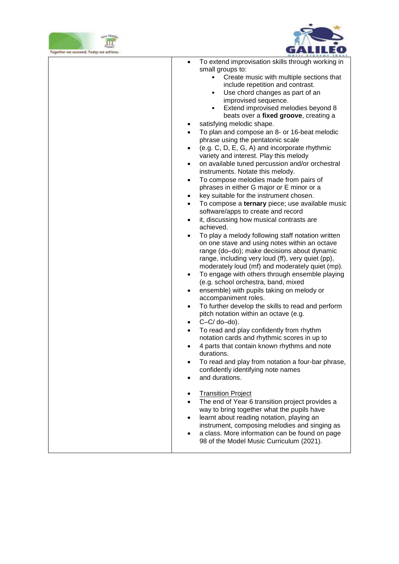



| Together we succeed; Today we achieve. |                                                                                                                                                                                                                                                                                                                                                                                                                                                                                                                                                                                                                                                                                                                                                                                                                                                                                                                                                                                                                                                                                                                                                                                                                                                                                                                                                                                                                                                                                                                                                                                                                                                                                                                                                                                                                                                                                                                                                                                                                                                                                                               |
|----------------------------------------|---------------------------------------------------------------------------------------------------------------------------------------------------------------------------------------------------------------------------------------------------------------------------------------------------------------------------------------------------------------------------------------------------------------------------------------------------------------------------------------------------------------------------------------------------------------------------------------------------------------------------------------------------------------------------------------------------------------------------------------------------------------------------------------------------------------------------------------------------------------------------------------------------------------------------------------------------------------------------------------------------------------------------------------------------------------------------------------------------------------------------------------------------------------------------------------------------------------------------------------------------------------------------------------------------------------------------------------------------------------------------------------------------------------------------------------------------------------------------------------------------------------------------------------------------------------------------------------------------------------------------------------------------------------------------------------------------------------------------------------------------------------------------------------------------------------------------------------------------------------------------------------------------------------------------------------------------------------------------------------------------------------------------------------------------------------------------------------------------------------|
|                                        | To extend improvisation skills through working in<br>$\bullet$<br>small groups to:<br>Create music with multiple sections that<br>$\bullet$<br>include repetition and contrast.<br>Use chord changes as part of an<br>$\bullet$<br>improvised sequence.<br>Extend improvised melodies beyond 8<br>beats over a fixed groove, creating a<br>satisfying melodic shape.<br>To plan and compose an 8- or 16-beat melodic<br>$\bullet$<br>phrase using the pentatonic scale<br>(e.g. C, D, E, G, A) and incorporate rhythmic<br>$\bullet$<br>variety and interest. Play this melody<br>on available tuned percussion and/or orchestral<br>٠<br>instruments. Notate this melody.<br>To compose melodies made from pairs of<br>$\bullet$<br>phrases in either G major or E minor or a<br>key suitable for the instrument chosen.<br>$\bullet$<br>To compose a ternary piece; use available music<br>$\bullet$<br>software/apps to create and record<br>it, discussing how musical contrasts are<br>$\bullet$<br>achieved.<br>To play a melody following staff notation written<br>$\bullet$<br>on one stave and using notes within an octave<br>range (do-do); make decisions about dynamic<br>range, including very loud (ff), very quiet (pp),<br>moderately loud (mf) and moderately quiet (mp).<br>To engage with others through ensemble playing<br>$\bullet$<br>(e.g. school orchestra, band, mixed<br>ensemble) with pupils taking on melody or<br>$\bullet$<br>accompaniment roles.<br>To further develop the skills to read and perform<br>$\bullet$<br>pitch notation within an octave (e.g.<br>$C-C/do$ -do).<br>$\bullet$<br>To read and play confidently from rhythm<br>٠<br>notation cards and rhythmic scores in up to<br>4 parts that contain known rhythms and note<br>durations.<br>To read and play from notation a four-bar phrase,<br>confidently identifying note names<br>and durations.<br><b>Transition Project</b><br>$\bullet$<br>The end of Year 6 transition project provides a<br>$\bullet$<br>way to bring together what the pupils have<br>learnt about reading notation, playing an |
|                                        | instrument, composing melodies and singing as<br>a class. More information can be found on page<br>98 of the Model Music Curriculum (2021).                                                                                                                                                                                                                                                                                                                                                                                                                                                                                                                                                                                                                                                                                                                                                                                                                                                                                                                                                                                                                                                                                                                                                                                                                                                                                                                                                                                                                                                                                                                                                                                                                                                                                                                                                                                                                                                                                                                                                                   |